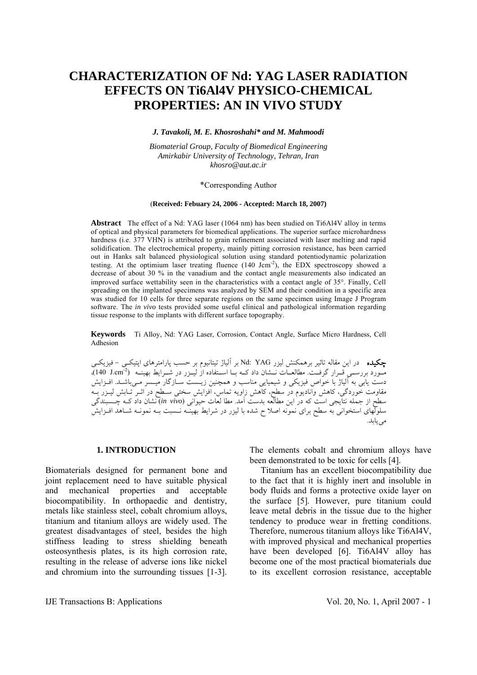# **CHARACTERIZATION OF Nd: YAG LASER RADIATION EFFECTS ON Ti6Al4V PHYSICO-CHEMICAL PROPERTIES: AN IN VIVO STUDY**

### *J. Tavakoli, M. E. Khosroshahi\* and M. Mahmoodi*

*Biomaterial Group, Faculty of Biomedical Engineering Amirkabir University of Technology, Tehran, Iran khosro@aut.ac.ir* 

### \*Corresponding Author

#### (**Received: Febuary 24, 2006 - Accepted: March 18, 2007)**

**Abstract** The effect of a Nd: YAG laser (1064 nm) has been studied on Ti6Al4V alloy in terms of optical and physical parameters for biomedical applications. The superior surface microhardness hardness (i.e. 377 VHN) is attributed to grain refinement associated with laser melting and rapid solidification. The electrochemical property, mainly pitting corrosion resistance, has been carried out in Hanks salt balanced physiological solution using standard potentiodynamic polarization testing. At the optimium laser treating fluence  $(140 \text{ Jcm}^2)$ , the EDX spectroscopy showed a decrease of about 30 % in the vanadium and the contact angle measurements also indicated an improved surface wettability seen in the characteristics with a contact angle of 35°. Finally, Cell spreading on the implanted specimens was analyzed by SEM and their condition in a specific area was studied for 10 cells for three separate regions on the same specimen using Image J Program software. The *in vivo* tests provided some useful clinical and pathological information regarding tissue response to the implants with different surface topography.

**Keywords** Ti Alloy, Nd: YAG Laser, Corrosion, Contact Angle, Surface Micro Hardness, Cell Adhesion

چكيده در اين مقاله تاثير برهمکنش ليزر YAG :Nd بر آلياژ تيتانيوم بر حسب پارامترهای اپتيکـی - فيزيکـی مـورد بررســي قــرار گرفــت. مطالعــات نــشان داد کــه بــا اســتفاده از ليــزر در شــرايط بهينــه ( $\text{140 J.cm^2}$ ). دست يابی به آلياژ با خواص فيزيکی و شيميايی مناسب و همچنين زيـست سـازگار ميـسر مـیباشـد. افـزايش مقاومت خوردگی، کاهش واناديوم در سطح، کاهش زاويه تماس، افزايش سختی سـطح در اثـر تـابش ليـزر بـه سطح از جمله نتايجی است که در اين مطالعه بدست آمد. مطا لعات حيوانی (*vivo in* (نشان داد کـه چـسبندگی سلولهای استخوانی به سطح برای نمونه اصلا ح شده با ليزر در شرايط بهينـه نـسبت بـه نمونـه شـاهد افـزايش می يابد.

### **1. INTRODUCTION**

Biomaterials designed for permanent bone and joint replacement need to have suitable physical and mechanical properties and acceptable biocompatibility. In orthopaedic and dentistry, metals like stainless steel, cobalt chromium alloys, titanium and titanium alloys are widely used. The greatest disadvantages of steel, besides the high stiffness leading to stress shielding beneath osteosynthesis plates, is its high corrosion rate, resulting in the release of adverse ions like nickel and chromium into the surrounding tissues [1-3].

The elements cobalt and chromium alloys have been demonstrated to be toxic for cells [4].

 Titanium has an excellent biocompatibility due to the fact that it is highly inert and insoluble in body fluids and forms a protective oxide layer on the surface [5]. However, pure titanium could leave metal debris in the tissue due to the higher tendency to produce wear in fretting conditions. Therefore, numerous titanium alloys like Ti6Al4V, with improved physical and mechanical properties have been developed [6]. Ti6Al4V alloy has become one of the most practical biomaterials due to its excellent corrosion resistance, acceptable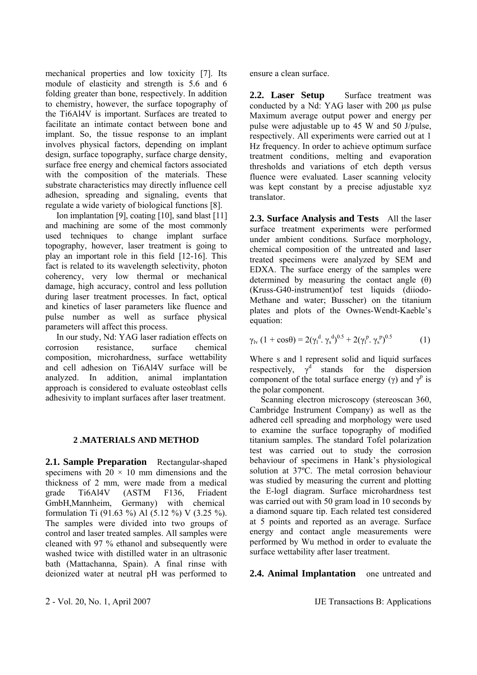mechanical properties and low toxicity [7]. Its module of elasticity and strength is 5.6 and 6 folding greater than bone, respectively. In addition to chemistry, however, the surface topography of the Ti6Al4V is important. Surfaces are treated to facilitate an intimate contact between bone and implant. So, the tissue response to an implant involves physical factors, depending on implant design, surface topography, surface charge density, surface free energy and chemical factors associated with the composition of the materials. These substrate characteristics may directly influence cell adhesion, spreading and signaling, events that regulate a wide variety of biological functions [8].

 Ion implantation [9], coating [10], sand blast [11] and machining are some of the most commonly used techniques to change implant surface topography, however, laser treatment is going to play an important role in this field [12-16]. This fact is related to its wavelength selectivity, photon coherency, very low thermal or mechanical damage, high accuracy, control and less pollution during laser treatment processes. In fact, optical and kinetics of laser parameters like fluence and pulse number as well as surface physical parameters will affect this process.

 In our study, Nd: YAG laser radiation effects on corrosion resistance surface chemical composition, microhardness, surface wettability and cell adhesion on Ti6Al4V surface will be analyzed. In addition, animal implantation approach is considered to evaluate osteoblast cells adhesivity to implant surfaces after laser treatment.

### **2 .MATERIALS AND METHOD**

2.1. Sample Preparation Rectangular-shaped specimens with  $20 \times 10$  mm dimensions and the thickness of 2 mm, were made from a medical grade Ti6Al4V (ASTM F136, Friadent GmbH,Mannheim, Germany) with chemical formulation Ti (91.63 %) Al (5.12 %) V (3.25 %). The samples were divided into two groups of control and laser treated samples. All samples were cleaned with 97 % ethanol and subsequently were washed twice with distilled water in an ultrasonic bath (Mattachanna, Spain). A final rinse with deionized water at neutral pH was performed to ensure a clean surface.

2.2. Laser Setup Surface treatment was conducted by a Nd: YAG laser with 200 μs pulse Maximum average output power and energy per pulse were adjustable up to 45 W and 50 J/pulse, respectively. All experiments were carried out at 1 Hz frequency. In order to achieve optimum surface treatment conditions, melting and evaporation thresholds and variations of etch depth versus fluence were evaluated. Laser scanning velocity was kept constant by a precise adjustable xyz translator.

**2.3. Surface Analysis and Tests** All the laser surface treatment experiments were performed under ambient conditions. Surface morphology, chemical composition of the untreated and laser treated specimens were analyzed by SEM and EDXA. The surface energy of the samples were determined by measuring the contact angle  $(\theta)$ (Kruss-G40-instrument)of test liquids (diiodo-Methane and water; Busscher) on the titanium plates and plots of the Ownes-Wendt-Kaeble's equation:

$$
\gamma_{\rm{lv}}\left(1+\cos\theta\right) = 2(\gamma_1^{\rm{d}}.\,\gamma_{\rm{s}}^{\rm{d}})^{0.5} + 2(\gamma_1^{\rm{p}}.\,\gamma_{\rm{s}}^{\rm{p}})^{0.5} \tag{1}
$$

Where s and l represent solid and liquid surfaces respectively,  $\gamma^{d}$  stands for the dispersion component of the total surface energy ( $\gamma$ ) and  $\gamma^p$  is the polar component.

 Scanning electron microscopy (stereoscan 360, Cambridge Instrument Company) as well as the adhered cell spreading and morphology were used to examine the surface topography of modified titanium samples. The standard Tofel polarization test was carried out to study the corrosion behaviour of specimens in Hank's physiological solution at 37ºC. The metal corrosion behaviour was studied by measuring the current and plotting the E-logI diagram. Surface microhardness test was carried out with 50 gram load in 10 seconds by a diamond square tip. Each related test considered at 5 points and reported as an average. Surface energy and contact angle measurements were performed by Wu method in order to evaluate the surface wettability after laser treatment.

# **2.4. Animal Implantation** one untreated and

2 - Vol. 20, No. 1, April 2007 IJE Transactions B: Applications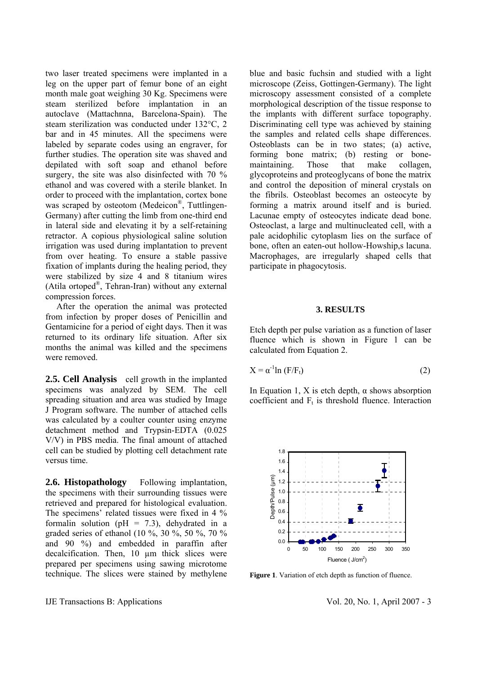two laser treated specimens were implanted in a leg on the upper part of femur bone of an eight month male goat weighing 30 Kg. Specimens were steam sterilized before implantation in an autoclave (Mattachnna, Barcelona-Spain). The steam sterilization was conducted under 132°C, 2 bar and in 45 minutes. All the specimens were labeled by separate codes using an engraver, for further studies. The operation site was shaved and depilated with soft soap and ethanol before surgery, the site was also disinfected with 70 % ethanol and was covered with a sterile blanket. In order to proceed with the implantation, cortex bone was scraped by osteotom (Medeicon<sup>®</sup>, Tuttlingen-Germany) after cutting the limb from one-third end in lateral side and elevating it by a self-retaining retractor. A copious physiological saline solution irrigation was used during implantation to prevent from over heating. To ensure a stable passive fixation of implants during the healing period, they were stabilized by size 4 and 8 titanium wires (Atila ortoped®, Tehran-Iran) without any external compression forces.

 After the operation the animal was protected from infection by proper doses of Penicillin and Gentamicine for a period of eight days. Then it was returned to its ordinary life situation. After six months the animal was killed and the specimens were removed.

**2.5. Cell Analysis** cell growth in the implanted specimens was analyzed by SEM. The cell spreading situation and area was studied by Image J Program software. The number of attached cells was calculated by a coulter counter using enzyme detachment method and Trypsin-EDTA (0.025 V/V) in PBS media. The final amount of attached cell can be studied by plotting cell detachment rate versus time.

2.6. Histopathology Following implantation, the specimens with their surrounding tissues were retrieved and prepared for histological evaluation. The specimens' related tissues were fixed in 4 % formalin solution ( $pH = 7.3$ ), dehydrated in a graded series of ethanol (10 %, 30 %, 50 %, 70 % and 90 %) and embedded in paraffin after decalcification. Then, 10 µm thick slices were prepared per specimens using sawing microtome technique. The slices were stained by methylene blue and basic fuchsin and studied with a light microscope (Zeiss, Gottingen-Germany). The light microscopy assessment consisted of a complete morphological description of the tissue response to the implants with different surface topography. Discriminating cell type was achieved by staining the samples and related cells shape differences. Osteoblasts can be in two states; (a) active, forming bone matrix; (b) resting or bonemaintaining. Those that make collagen, glycoproteins and proteoglycans of bone the matrix and control the deposition of mineral crystals on the fibrils. Osteoblast becomes an osteocyte by forming a matrix around itself and is buried. Lacunae empty of osteocytes indicate dead bone. Osteoclast, a large and multinucleated cell, with a pale acidophilic cytoplasm lies on the surface of bone, often an eaten-out hollow-Howship,s lacuna. Macrophages, are irregularly shaped cells that participate in phagocytosis.

### **3. RESULTS**

Etch depth per pulse variation as a function of laser fluence which is shown in Figure 1 can be calculated from Equation 2.

$$
X = \alpha^{-1} \ln \left( F/F_t \right) \tag{2}
$$

In Equation 1, X is etch depth,  $\alpha$  shows absorption coefficient and  $F_t$  is threshold fluence. Interaction



**Figure 1**. Variation of etch depth as function of fluence.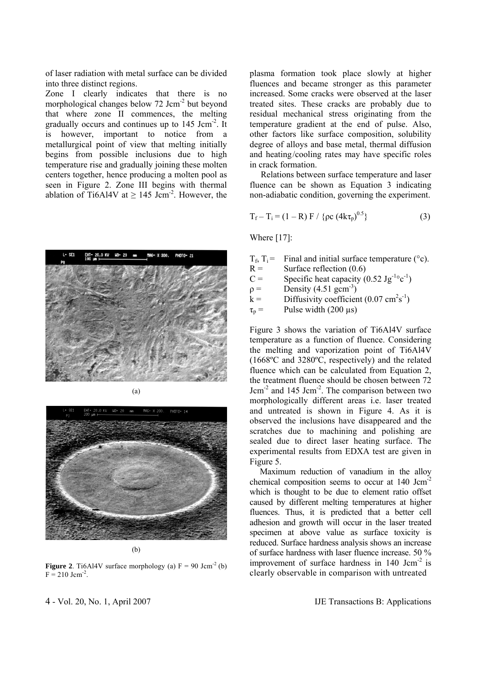of laser radiation with metal surface can be divided into three distinct regions.

Zone I clearly indicates that there is no morphological changes below 72 Jcm<sup>-2</sup> but beyond that where zone II commences, the melting gradually occurs and continues up to 145 Jcm-2. It is however, important to notice from a metallurgical point of view that melting initially begins from possible inclusions due to high temperature rise and gradually joining these molten centers together, hence producing a molten pool as seen in Figure 2. Zone III begins with thermal ablation of Ti6Al4V at  $\geq$  145 Jcm<sup>-2</sup>. However, the





(b)

**Figure 2**. Ti6Al4V surface morphology (a)  $F = 90$  Jcm<sup>-2</sup> (b)  $F = 210$  Jcm<sup>-2</sup>.

plasma formation took place slowly at higher fluences and became stronger as this parameter increased. Some cracks were observed at the laser treated sites. These cracks are probably due to residual mechanical stress originating from the temperature gradient at the end of pulse. Also, other factors like surface composition, solubility degree of alloys and base metal, thermal diffusion and heating/cooling rates may have specific roles in crack formation.

 Relations between surface temperature and laser fluence can be shown as Equation 3 indicating non-adiabatic condition, governing the experiment.

$$
T_f - T_i = (1 - R) F / \{ \rho c (4k\tau_p)^{0.5} \}
$$
 (3)

Where [17]:

- $T_f$ ,  $T_i$  = Final and initial surface temperature (°c).<br>  $R =$  Surface reflection (0.6)
- Surface reflection  $(0.6)$
- C = Specific heat capacity  $(0.52 \text{ Jg}^{-1} \circ \text{c}^{-1})$
- $p =$  Density (4.51 gcm<sup>-3</sup>)
- $k =$  Diffusivity coefficient (0.07 cm<sup>2</sup>s<sup>-1</sup>)

 $\tau_p$  = Pulse width (200 µs)

Figure 3 shows the variation of Ti6Al4V surface temperature as a function of fluence. Considering the melting and vaporization point of Ti6Al4V (1668ºC and 3280ºC, respectively) and the related fluence which can be calculated from Equation 2, the treatment fluence should be chosen between 72 Jcm-2 and 145 Jcm-2. The comparison between two morphologically different areas i.e. laser treated and untreated is shown in Figure 4. As it is observed the inclusions have disappeared and the scratches due to machining and polishing are sealed due to direct laser heating surface. The experimental results from EDXA test are given in Figure 5.

 Maximum reduction of vanadium in the alloy chemical composition seems to occur at 140 Jcm-2 which is thought to be due to element ratio offset caused by different melting temperatures at higher fluences. Thus, it is predicted that a better cell adhesion and growth will occur in the laser treated specimen at above value as surface toxicity is reduced. Surface hardness analysis shows an increase of surface hardness with laser fluence increase. 50 % improvement of surface hardness in  $140 \text{ Jcm}^{-2}$  is clearly observable in comparison with untreated

4 - Vol. 20, No. 1, April 2007 IJE Transactions B: Applications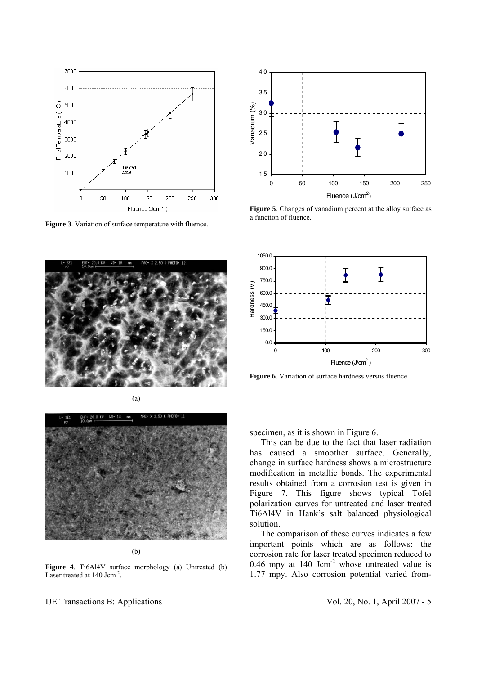

**Figure 3**. Variation of surface temperature with fluence.





(b)

**Figure 4.** Ti6Al4V surface morphology (a) Untreated (b) Laser treated at 140 Jcm<sup>-2</sup>.



**Figure 5**. Changes of vanadium percent at the alloy surface as a function of fluence.



**Figure 6**. Variation of surface hardness versus fluence.

specimen, as it is shown in Figure 6.

 This can be due to the fact that laser radiation has caused a smoother surface. Generally, change in surface hardness shows a microstructure modification in metallic bonds. The experimental results obtained from a corrosion test is given in Figure 7. This figure shows typical Tofel polarization curves for untreated and laser treated Ti6Al4V in Hank's salt balanced physiological solution.

 The comparison of these curves indicates a few important points which are as follows: the corrosion rate for laser treated specimen reduced to 0.46 mpy at 140 Jcm<sup>-2</sup> whose untreated value is 1.77 mpy. Also corrosion potential varied from-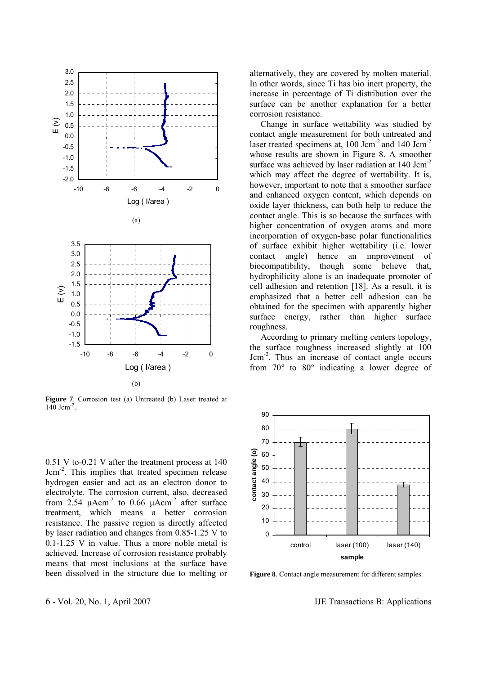

**Figure 7**. Corrosion test (a) Untreated (b) Laser treated at  $140$  Jcm<sup>-2</sup>.

0.51 V to-0.21 V after the treatment process at 140 Jcm-2. This implies that treated specimen release hydrogen easier and act as an electron donor to electrolyte. The corrosion current, also, decreased from 2.54  $\mu$ Acm<sup>-2</sup> to 0.66  $\mu$ Acm<sup>-2</sup> after surface treatment, which means a better corrosion resistance. The passive region is directly affected by laser radiation and changes from 0.85-1.25 V to 0.1-1.25 V in value. Thus a more noble metal is achieved. Increase of corrosion resistance probably means that most inclusions at the surface have been dissolved in the structure due to melting or alternatively, they are covered by molten material. In other words, since Ti has bio inert property, the increase in percentage of Ti distribution over the surface can be another explanation for a better corrosion resistance.

 Change in surface wettability was studied by contact angle measurement for both untreated and laser treated specimens at, 100 Jcm<sup>-2</sup> and 140 Jcm<sup>-2</sup> whose results are shown in Figure 8. A smoother surface was achieved by laser radiation at 140 Jcm<sup>-2</sup> which may affect the degree of wettability. It is, however, important to note that a smoother surface and enhanced oxygen content, which depends on oxide layer thickness, can both help to reduce the contact angle. This is so because the surfaces with higher concentration of oxygen atoms and more incorporation of oxygen-base polar functionalities of surface exhibit higher wettability (i.e. lower contact angle) hence an improvement of biocompatibility, though some believe that, hydrophilicity alone is an inadequate promoter of cell adhesion and retention [18]. As a result, it is emphasized that a better cell adhesion can be obtained for the specimen with apparently higher surface energy, rather than higher surface roughness.

 According to primary melting centers topology, the surface roughness increased slightly at 100 Jcm-2. Thus an increase of contact angle occurs from 70º to 80º indicating a lower degree of



**Figure 8**. Contact angle measurement for different samples.

6 - Vol. 20, No. 1, April 2007 IJE Transactions B: Applications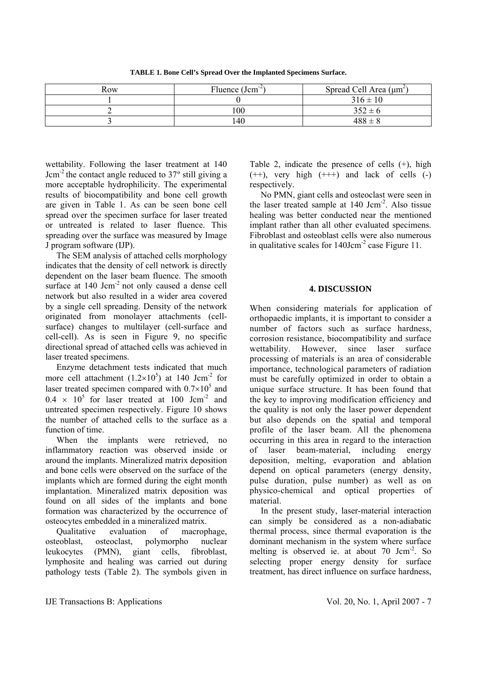**TABLE 1. Bone Cell's Spread Over the Implanted Specimens Surface.** 

| Row | Fluence $(Jcm^{-2})$ | Spread Cell Area $(\mu m^2)$ |
|-----|----------------------|------------------------------|
|     |                      | $316 \pm 10$                 |
|     | 100                  | $352 \pm 6$                  |
|     | 140                  | $488 \pm 8$                  |

wettability. Following the laser treatment at 140 Jcm-2 the contact angle reduced to 37º still giving a more acceptable hydrophilicity. The experimental results of biocompatibility and bone cell growth are given in Table 1. As can be seen bone cell spread over the specimen surface for laser treated or untreated is related to laser fluence. This spreading over the surface was measured by Image J program software (IJP).

 The SEM analysis of attached cells morphology indicates that the density of cell network is directly dependent on the laser beam fluence. The smooth surface at 140 Jcm<sup>-2</sup> not only caused a dense cell network but also resulted in a wider area covered by a single cell spreading. Density of the network originated from monolayer attachments (cellsurface) changes to multilayer (cell-surface and cell-cell). As is seen in Figure 9, no specific directional spread of attached cells was achieved in laser treated specimens.

 Enzyme detachment tests indicated that much more cell attachment  $(1.2 \times 10^5)$  at 140 Jcm<sup>-2</sup> for laser treated specimen compared with  $0.7 \times 10^5$  and  $0.4 \times 10^5$  for laser treated at 100 Jcm<sup>-2</sup> and untreated specimen respectively. Figure 10 shows the number of attached cells to the surface as a function of time.

When the implants were retrieved, no inflammatory reaction was observed inside or around the implants. Mineralized matrix deposition and bone cells were observed on the surface of the implants which are formed during the eight month implantation. Mineralized matrix deposition was found on all sides of the implants and bone formation was characterized by the occurrence of osteocytes embedded in a mineralized matrix.

 Qualitative evaluation of macrophage, osteoblast, osteoclast, polymorpho nuclear leukocytes (PMN), giant cells, fibroblast, lymphosite and healing was carried out during pathology tests (Table 2). The symbols given in Table 2, indicate the presence of cells (+), high  $(++)$ , very high  $(++)$  and lack of cells  $(-)$ respectively.

 No PMN, giant cells and osteoclast were seen in the laser treated sample at 140 Jcm-2. Also tissue healing was better conducted near the mentioned implant rather than all other evaluated specimens. Fibroblast and osteoblast cells were also numerous in qualitative scales for 140Jcm-2 case Figure 11.

## **4. DISCUSSION**

When considering materials for application of orthopaedic implants, it is important to consider a number of factors such as surface hardness, corrosion resistance, biocompatibility and surface wettability. However, since laser surface processing of materials is an area of considerable importance, technological parameters of radiation must be carefully optimized in order to obtain a unique surface structure. It has been found that the key to improving modification efficiency and the quality is not only the laser power dependent but also depends on the spatial and temporal profile of the laser beam. All the phenomena occurring in this area in regard to the interaction of laser beam-material, including energy deposition, melting, evaporation and ablation depend on optical parameters (energy density, pulse duration, pulse number) as well as on physico-chemical and optical properties of material.

 In the present study, laser-material interaction can simply be considered as a non-adiabatic thermal process, since thermal evaporation is the dominant mechanism in the system where surface melting is observed ie. at about 70 Jcm<sup>-2</sup>. So selecting proper energy density for surface treatment, has direct influence on surface hardness,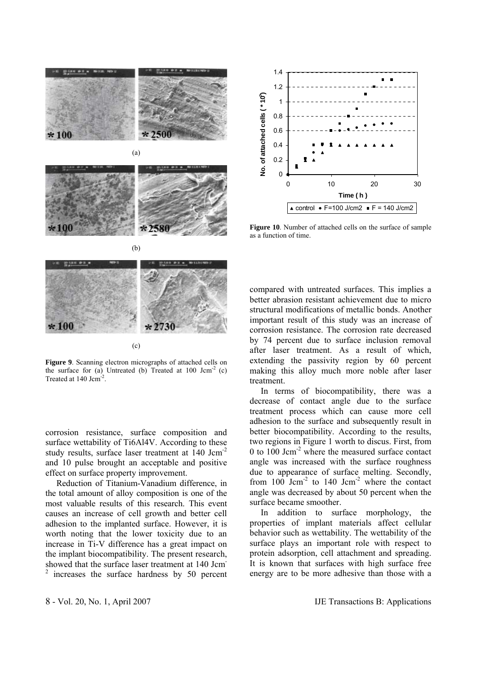



**Figure 10**. Number of attached cells on the surface of sample as a function of time.



**Figure 9**. Scanning electron micrographs of attached cells on the surface for (a) Untreated (b) Treated at  $100 \text{ Jcm}^2$  (c) Treated at 140 Jcm<sup>-2</sup>.

corrosion resistance, surface composition and surface wettability of Ti6Al4V. According to these study results, surface laser treatment at 140 Jcm-2 and 10 pulse brought an acceptable and positive effect on surface property improvement.

 Reduction of Titanium-Vanadium difference, in the total amount of alloy composition is one of the most valuable results of this research. This event causes an increase of cell growth and better cell adhesion to the implanted surface. However, it is worth noting that the lower toxicity due to an increase in Ti-V difference has a great impact on the implant biocompatibility. The present research, showed that the surface laser treatment at 140 Jcm-2 increases the surface hardness by 50 percent compared with untreated surfaces. This implies a better abrasion resistant achievement due to micro structural modifications of metallic bonds. Another important result of this study was an increase of corrosion resistance. The corrosion rate decreased by 74 percent due to surface inclusion removal after laser treatment. As a result of which, extending the passivity region by 60 percent making this alloy much more noble after laser treatment.

 In terms of biocompatibility, there was a decrease of contact angle due to the surface treatment process which can cause more cell adhesion to the surface and subsequently result in better biocompatibility. According to the results, two regions in Figure 1 worth to discus. First, from 0 to 100 Jcm-2 where the measured surface contact angle was increased with the surface roughness due to appearance of surface melting. Secondly, from  $100 \text{ Jcm}^{-2}$  to  $140 \text{ Jcm}^{-2}$  where the contact angle was decreased by about 50 percent when the surface became smoother.

 In addition to surface morphology, the properties of implant materials affect cellular behavior such as wettability. The wettability of the surface plays an important role with respect to protein adsorption, cell attachment and spreading. It is known that surfaces with high surface free energy are to be more adhesive than those with a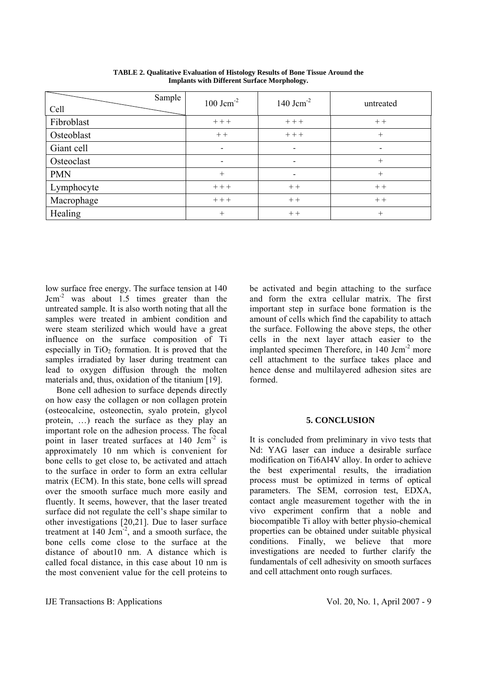| Sample<br>Cell | $100$ Jcm <sup>-2</sup>  | 140 $Jcm^{-2}$               | untreated |
|----------------|--------------------------|------------------------------|-----------|
| Fibroblast     | $+++$                    | $++$                         | $++$      |
| Osteoblast     | $++$                     | $++$                         | $+$       |
| Giant cell     | $\overline{\phantom{a}}$ | $\qquad \qquad \blacksquare$ |           |
| Osteoclast     | $\overline{\phantom{a}}$ | $\qquad \qquad \blacksquare$ | $+$       |
| <b>PMN</b>     | $+$                      | $\overline{\phantom{a}}$     | $+$       |
| Lymphocyte     | $+++$                    | $++$                         | $++$      |
| Macrophage     | $+++$                    | $++$                         | $++$      |
| Healing        | $+$                      | $++$                         | $+$       |

**TABLE 2. Qualitative Evaluation of Histology Results of Bone Tissue Around the Implants with Different Surface Morphology.**

low surface free energy. The surface tension at 140  $Jcm<sup>-2</sup>$  was about 1.5 times greater than the untreated sample. It is also worth noting that all the samples were treated in ambient condition and were steam sterilized which would have a great influence on the surface composition of Ti especially in  $TiO<sub>2</sub>$  formation. It is proved that the samples irradiated by laser during treatment can lead to oxygen diffusion through the molten materials and, thus, oxidation of the titanium [19].

 Bone cell adhesion to surface depends directly on how easy the collagen or non collagen protein (osteocalcine, osteonectin, syalo protein, glycol protein, …) reach the surface as they play an important role on the adhesion process. The focal point in laser treated surfaces at 140 Jcm-2 is approximately 10 nm which is convenient for bone cells to get close to, be activated and attach to the surface in order to form an extra cellular matrix (ECM). In this state, bone cells will spread over the smooth surface much more easily and fluently. It seems, however, that the laser treated surface did not regulate the cell's shape similar to other investigations [20,21]. Due to laser surface treatment at  $140 \text{ Jcm}^{-2}$ , and a smooth surface, the bone cells come close to the surface at the distance of about10 nm. A distance which is called focal distance, in this case about 10 nm is the most convenient value for the cell proteins to be activated and begin attaching to the surface and form the extra cellular matrix. The first important step in surface bone formation is the amount of cells which find the capability to attach the surface. Following the above steps, the other cells in the next layer attach easier to the implanted specimen Therefore, in 140 Jcm<sup>-2</sup> more cell attachment to the surface takes place and hence dense and multilayered adhesion sites are formed.

### **5. CONCLUSION**

It is concluded from preliminary in vivo tests that Nd: YAG laser can induce a desirable surface modification on Ti6Al4V alloy. In order to achieve the best experimental results, the irradiation process must be optimized in terms of optical parameters. The SEM, corrosion test, EDXA, contact angle measurement together with the in vivo experiment confirm that a noble and biocompatible Ti alloy with better physio-chemical properties can be obtained under suitable physical conditions. Finally, we believe that more investigations are needed to further clarify the fundamentals of cell adhesivity on smooth surfaces and cell attachment onto rough surfaces.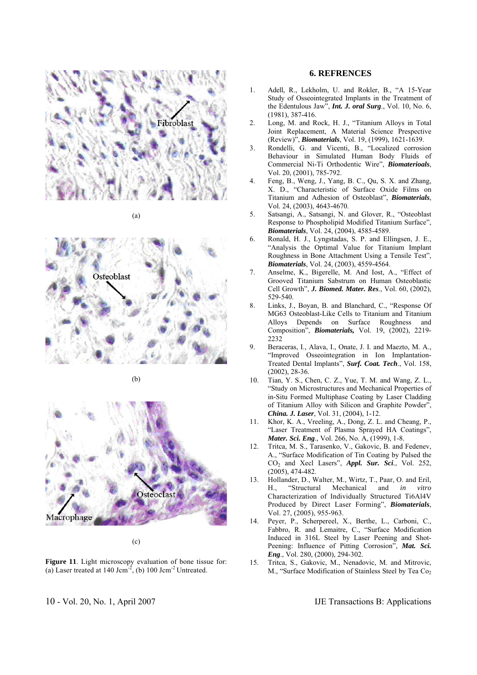

(a)







(c)

**Figure 11**. Light microscopy evaluation of bone tissue for: (a) Laser treated at 140 Jcm<sup>-2</sup>, (b) 100 Jcm<sup>-2</sup> Untreated.

### **6. REFRENCES**

- 1. Adell, R., Lekholm, U. and Rokler, B., "A 15-Year Study of Osseointegrated Implants in the Treatment of the Edentulous Jaw", *Int. J. oral Surg*., Vol. 10, No. 6, (1981), 387-416.
- 2. Long, M. and Rock, H. J., "Titanium Alloys in Total Joint Replacement, A Material Science Prespective (Review)", *Biomaterials*, Vol. 19, (1999), 1621-1639.
- 3. Rondelli, G. and Vicenti, B., "Localized corrosion Behaviour in Simulated Human Body Fluids of Commercial Ni-Ti Orthodentic Wire", *Biomaterioals*, Vol. 20, (2001), 785-792.
- 4. Feng, B., Weng, J., Yang, B. C., Qu, S. X. and Zhang, X. D., "Characteristic of Surface Oxide Films on Titanium and Adhesion of Osteoblast", *Biomaterials*, Vol. 24, (2003), 4643-4670.
- 5. Satsangi, A., Satsangi, N. and Glover, R., "Osteoblast Response to Phospholipid Modified Titanium Surface", *Biomaterials*, Vol. 24, (2004), 4585-4589.
- 6. Ronald, H. J., Lyngstadas, S. P. and Ellingsen, J. E., "Analysis the Optimal Value for Titanium Implant Roughness in Bone Attachment Using a Tensile Test", *Biomaterials*, Vol. 24, (2003), 4559-4564.
- 7. Anselme, K., Bigerelle, M. And Iost, A., "Effect of Grooved Titanium Sabstrum on Human Osteoblastic Cell Growth", *J. Biomed. Mater. Res*., Vol. 60, (2002), 529-540.
- 8. Links, J., Boyan, B. and Blanchard, C., "Response Of MG63 Osteoblast-Like Cells to Titanium and Titanium Alloys Depends on Surface Roughness and Composition", *Biomaterials,* Vol. 19, (2002), 2219- 2232
- 9. Beraceras, I., Alava, I., Onate, J. I. and Maezto, M. A., "Improved Osseointegration in Ion Implantation-Treated Dental Implants", *Surf. Coat. Tech*., Vol. 158, (2002), 28-36.
- 10. Tian, Y. S., Chen, C. Z., Yue, T. M. and Wang, Z. L., "Study on Microstructures and Mechanical Properties of in-Situ Formed Multiphase Coating by Laser Cladding of Titanium Alloy with Silicon and Graphite Powder", *China. J. Laser*, Vol. 31, (2004), 1-12.
- 11. Khor, K. A., Vreeling, A., Dong, Z. L. and Cheang, P., "Laser Treatment of Plasma Sprayed HA Coatings", *Mater. Sci. Eng*., Vol. 266, No. A, (1999), 1-8.
- 12. Tritca, M. S., Tarasenko, V., Gakovic, B. and Fedenev, A., "Surface Modification of Tin Coating by Pulsed the CO2 and Xecl Lasers", *Appl. Sur. Sci.*, Vol. 252, (2005), 474-482.
- 13. Hollander, D., Walter, M., Wirtz, T., Paar, O. and Eril, H., "Structural Mechanical and *in vitro*  Characterization of Individually Structured Ti6Al4V Produced by Direct Laser Forming", *Biomaterials*, Vol. 27, (2005), 955-963.
- 14. Peyer, P., Scherpereel, X., Berthe, L., Carboni, C., Fabbro, R. and Lemaitre, C., "Surface Modification Induced in 316L Steel by Laser Peening and Shot-Peening: Influence of Pitting Corrosion", *Mat. Sci. Eng*., Vol. 280, (2000), 294-302.
- 15. Tritca, S., Gakovic, M., Nenadovic, M. and Mitrovic, M., "Surface Modification of Stainless Steel by Tea Co<sub>2</sub>